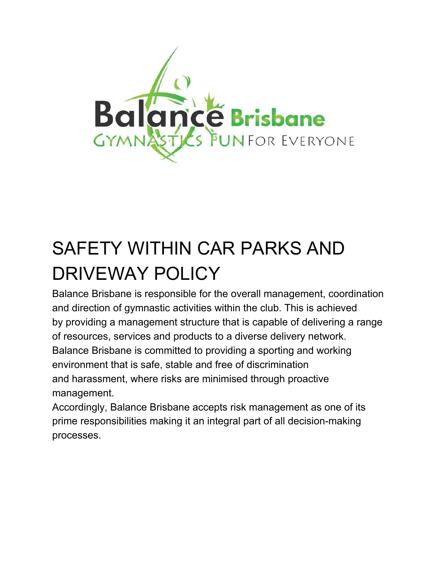

# SAFETY WITHIN CAR PARKS AND DRIVEWAY POLICY

Balance Brisbane is responsible for the overall management, coordination and direction of gymnastic activities within the club. This is achieved by providing a management structure that is capable of delivering a range of resources, services and products to a diverse delivery network. Balance Brisbane is committed to providing a sporting and working environment that is safe, stable and free of discrimination and harassment, where risks are minimised through proactive management.

Accordingly, Balance Brisbane accepts risk management as one of its prime responsibilities making it an integral part of all decision-making processes.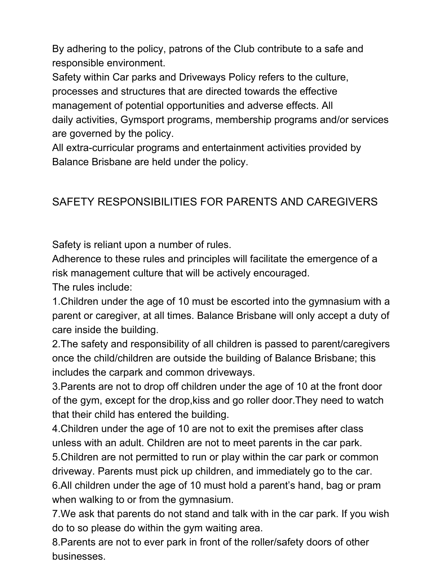By adhering to the policy, patrons of the Club contribute to a safe and responsible environment.

Safety within Car parks and Driveways Policy refers to the culture,

processes and structures that are directed towards the effective

management of potential opportunities and adverse effects. All

daily activities, Gymsport programs, membership programs and/or services are governed by the policy.

All extra-curricular programs and entertainment activities provided by Balance Brisbane are held under the policy.

## SAFETY RESPONSIBILITIES FOR PARENTS AND CAREGIVERS

Safety is reliant upon a number of rules.

Adherence to these rules and principles will facilitate the emergence of a risk management culture that will be actively encouraged.

The rules include:

1.Children under the age of 10 must be escorted into the gymnasium with a parent or caregiver, at all times. Balance Brisbane will only accept a duty of care inside the building.

2.The safety and responsibility of all children is passed to parent/caregivers once the child/children are outside the building of Balance Brisbane; this includes the carpark and common driveways.

3.Parents are not to drop off children under the age of 10 at the front door of the gym, except for the drop,kiss and go roller door.They need to watch that their child has entered the building.

4.Children under the age of 10 are not to exit the premises after class unless with an adult. Children are not to meet parents in the car park.

5.Children are not permitted to run or play within the car park or common driveway. Parents must pick up children, and immediately go to the car.

6.All children under the age of 10 must hold a parent's hand, bag or pram when walking to or from the gymnasium.

7.We ask that parents do not stand and talk with in the car park. If you wish do to so please do within the gym waiting area.

8.Parents are not to ever park in front of the roller/safety doors of other businesses.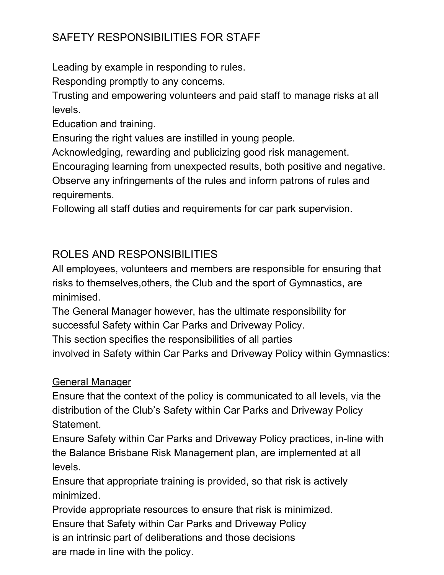## SAFETY RESPONSIBILITIES FOR STAFF

Leading by example in responding to rules.

Responding promptly to any concerns.

Trusting and empowering volunteers and paid staff to manage risks at all levels.

Education and training.

Ensuring the right values are instilled in young people.

Acknowledging, rewarding and publicizing good risk management.

Encouraging learning from unexpected results, both positive and negative.

Observe any infringements of the rules and inform patrons of rules and requirements.

Following all staff duties and requirements for car park supervision.

## ROLES AND RESPONSIBILITIES

All employees, volunteers and members are responsible for ensuring that risks to themselves,others, the Club and the sport of Gymnastics, are minimised.

The General Manager however, has the ultimate responsibility for successful Safety within Car Parks and Driveway Policy.

This section specifies the responsibilities of all parties

involved in Safety within Car Parks and Driveway Policy within Gymnastics:

#### General Manager

Ensure that the context of the policy is communicated to all levels, via the distribution of the Club's Safety within Car Parks and Driveway Policy Statement.

Ensure Safety within Car Parks and Driveway Policy practices, in-line with the Balance Brisbane Risk Management plan, are implemented at all levels.

Ensure that appropriate training is provided, so that risk is actively minimized.

Provide appropriate resources to ensure that risk is minimized.

Ensure that Safety within Car Parks and Driveway Policy

is an intrinsic part of deliberations and those decisions

are made in line with the policy.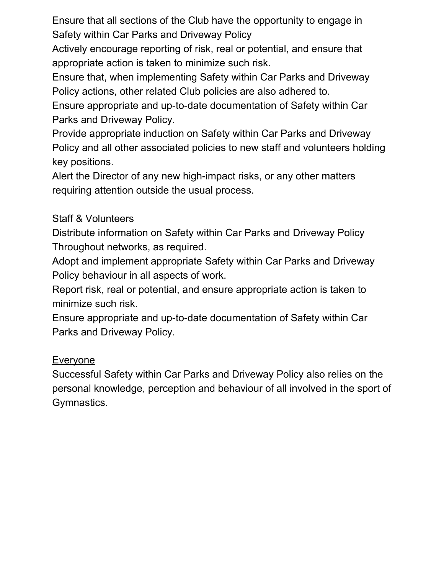Ensure that all sections of the Club have the opportunity to engage in Safety within Car Parks and Driveway Policy

Actively encourage reporting of risk, real or potential, and ensure that appropriate action is taken to minimize such risk.

Ensure that, when implementing Safety within Car Parks and Driveway Policy actions, other related Club policies are also adhered to.

Ensure appropriate and up-to-date documentation of Safety within Car Parks and Driveway Policy.

Provide appropriate induction on Safety within Car Parks and Driveway Policy and all other associated policies to new staff and volunteers holding key positions.

Alert the Director of any new high-impact risks, or any other matters requiring attention outside the usual process.

#### **Staff & Volunteers**

Distribute information on Safety within Car Parks and Driveway Policy Throughout networks, as required.

Adopt and implement appropriate Safety within Car Parks and Driveway Policy behaviour in all aspects of work.

Report risk, real or potential, and ensure appropriate action is taken to minimize such risk.

Ensure appropriate and up-to-date documentation of Safety within Car Parks and Driveway Policy.

#### Everyone

Successful Safety within Car Parks and Driveway Policy also relies on the personal knowledge, perception and behaviour of all involved in the sport of Gymnastics.